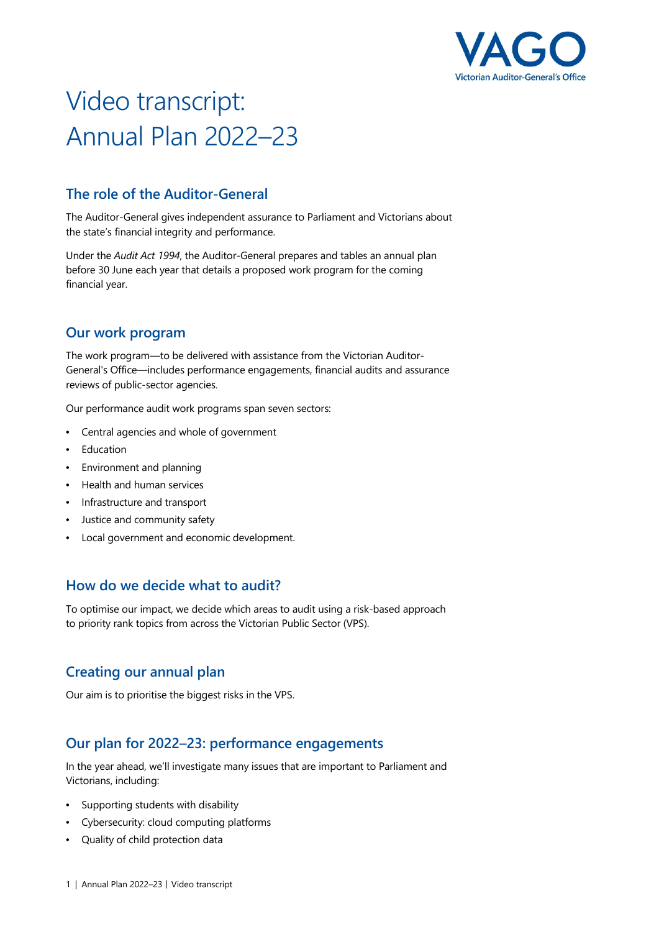

# Video transcript: Annual Plan 2022–23

## **The role of the Auditor-General**

The Auditor-General gives independent assurance to Parliament and Victorians about the state's financial integrity and performance.

Under the *Audit Act 1994*, the Auditor-General prepares and tables an annual plan before 30 June each year that details a proposed work program for the coming financial year.

## **Our work program**

The work program—to be delivered with assistance from the Victorian Auditor-General's Office—includes performance engagements, financial audits and assurance reviews of public-sector agencies.

Our performance audit work programs span seven sectors:

- Central agencies and whole of government
- Education
- Environment and planning
- Health and human services
- Infrastructure and transport
- Justice and community safety
- Local government and economic development.

### **How do we decide what to audit?**

To optimise our impact, we decide which areas to audit using a risk-based approach to priority rank topics from across the Victorian Public Sector (VPS).

### **Creating our annual plan**

Our aim is to prioritise the biggest risks in the VPS.

### **Our plan for 2022–23: performance engagements**

In the year ahead, we'll investigate many issues that are important to Parliament and Victorians, including:

- Supporting students with disability
- Cybersecurity: cloud computing platforms
- Quality of child protection data